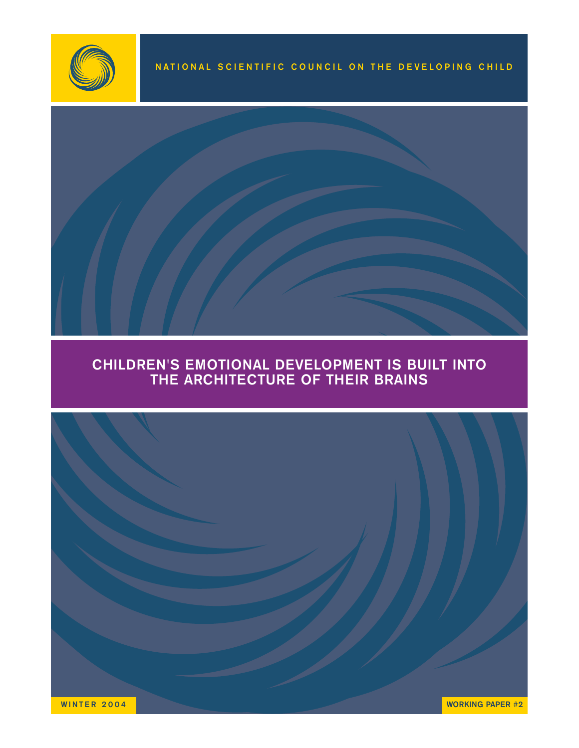



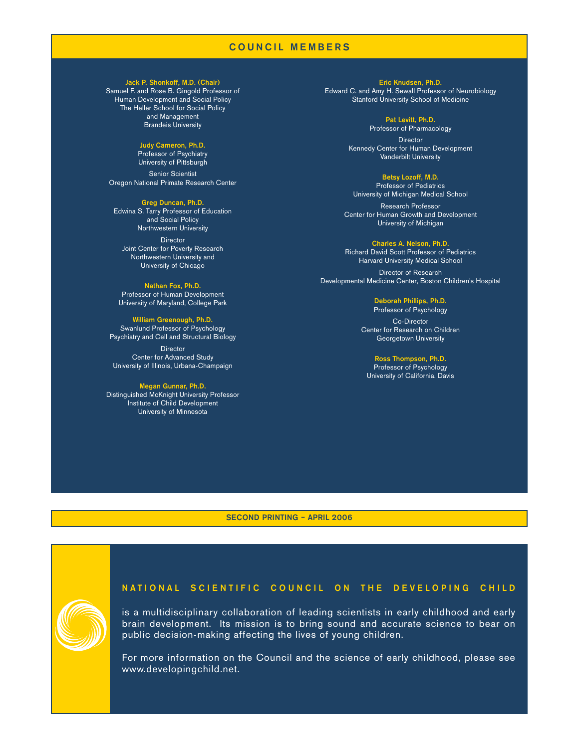# COUNCIL MEMBERS

#### Jack P. Shonkoff, M.D. (Chair)

Samuel F. and Rose B. Gingold Professor of Human Development and Social Policy The Heller School for Social Policy and Management Brandeis University

#### Judy Cameron, Ph.D.

Professor of Psychiatry University of Pittsburgh

Senior Scientist Oregon National Primate Research Center

Greg Duncan, Ph.D. Edwina S. Tarry Professor of Education and Social Policy Northwestern University

**Director** Joint Center for Poverty Research Northwestern University and University of Chicago

Nathan Fox, Ph.D. Professor of Human Development University of Maryland, College Park

William Greenough, Ph.D. Swanlund Professor of Psychology Psychiatry and Cell and Structural Biology

**Director** Center for Advanced Study University of Illinois, Urbana-Champaign

### Megan Gunnar, Ph.D.

Distinguished McKnight University Professor Institute of Child Development University of Minnesota

Eric Knudsen, Ph.D. Edward C. and Amy H. Sewall Professor of Neurobiology Stanford University School of Medicine

> Pat Levitt, Ph.D. Professor of Pharmacology

**Director** Kennedy Center for Human Development Vanderbilt University

#### Betsy Lozoff, M.D.

Professor of Pediatrics University of Michigan Medical School

Research Professor Center for Human Growth and Development University of Michigan

#### Charles A. Nelson, Ph.D.

Richard David Scott Professor of Pediatrics Harvard University Medical School

Director of Research Developmental Medicine Center, Boston Children's Hospital

#### Deborah Phillips, Ph.D.

Professor of Psychology Co-Director Center for Research on Children Georgetown University

#### Ross Thompson, Ph.D.

Professor of Psychology University of California, Davis

SECOND PRINTING – APRIL 2006

# NATIONAL SCIENTIFIC COUNCIL ON THE DEVELOPING CHILD

is a multidisciplinary collaboration of leading scientists in early childhood and early brain development. Its mission is to bring sound and accurate science to bear on public decision-making affecting the lives of young children.

For more information on the Council and the science of early childhood, please see www.developingchild.net.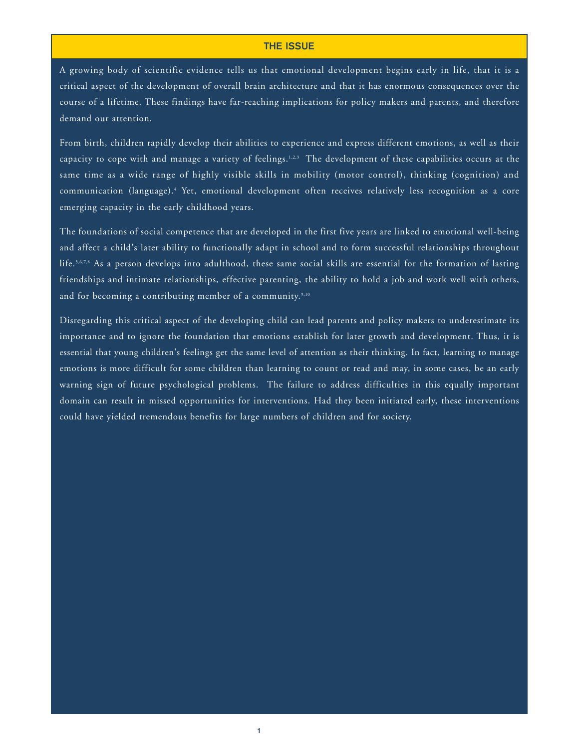## THE ISSUE

A growing body of scientific evidence tells us that emotional development begins early in life, that it is a critical aspect of the development of overall brain architecture and that it has enormous consequences over the course of a lifetime. These findings have far-reaching implications for policy makers and parents, and therefore demand our attention.

From birth, children rapidly develop their abilities to experience and express different emotions, as well as their capacity to cope with and manage a variety of feelings.<sup>1,2,3</sup> The development of these capabilities occurs at the same time as a wide range of highly visible skills in mobility (motor control), thinking (cognition) and communication (language).4 Yet, emotional development often receives relatively less recognition as a core emerging capacity in the early childhood years.

The foundations of social competence that are developed in the first five years are linked to emotional well-being and affect a child's later ability to functionally adapt in school and to form successful relationships throughout life.5,6,7,8 As a person develops into adulthood, these same social skills are essential for the formation of lasting friendships and intimate relationships, effective parenting, the ability to hold a job and work well with others, and for becoming a contributing member of a community.<sup>9,10</sup>

Disregarding this critical aspect of the developing child can lead parents and policy makers to underestimate its importance and to ignore the foundation that emotions establish for later growth and development. Thus, it is essential that young children's feelings get the same level of attention as their thinking. In fact, learning to manage emotions is more difficult for some children than learning to count or read and may, in some cases, be an early warning sign of future psychological problems. The failure to address difficulties in this equally important domain can result in missed opportunities for interventions. Had they been initiated early, these interventions could have yielded tremendous benefits for large numbers of children and for society.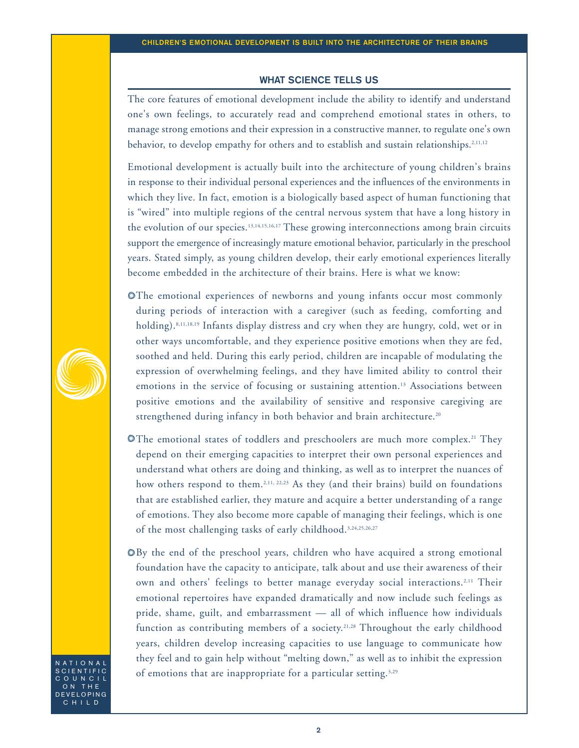## WHAT SCIENCE TELLS US

The core features of emotional development include the ability to identify and understand one's own feelings, to accurately read and comprehend emotional states in others, to manage strong emotions and their expression in a constructive manner, to regulate one's own behavior, to develop empathy for others and to establish and sustain relationships.<sup>2,11,12</sup>

Emotional development is actually built into the architecture of young children's brains in response to their individual personal experiences and the influences of the environments in which they live. In fact, emotion is a biologically based aspect of human functioning that is "wired" into multiple regions of the central nervous system that have a long history in the evolution of our species.<sup>13,14,15,16,17</sup> These growing interconnections among brain circuits support the emergence of increasingly mature emotional behavior, particularly in the preschool years. Stated simply, as young children develop, their early emotional experiences literally become embedded in the architecture of their brains. Here is what we know:

The emotional experiences of newborns and young infants occur most commonly during periods of interaction with a caregiver (such as feeding, comforting and holding).8,11,18,19 Infants display distress and cry when they are hungry, cold, wet or in other ways uncomfortable, and they experience positive emotions when they are fed, soothed and held. During this early period, children are incapable of modulating the expression of overwhelming feelings, and they have limited ability to control their emotions in the service of focusing or sustaining attention.<sup>13</sup> Associations between positive emotions and the availability of sensitive and responsive caregiving are strengthened during infancy in both behavior and brain architecture.<sup>20</sup>

- $\bullet$  The emotional states of toddlers and preschoolers are much more complex.<sup>21</sup> They depend on their emerging capacities to interpret their own personal experiences and understand what others are doing and thinking, as well as to interpret the nuances of how others respond to them.<sup>2,11, 22,23</sup> As they (and their brains) build on foundations that are established earlier, they mature and acquire a better understanding of a range of emotions. They also become more capable of managing their feelings, which is one of the most challenging tasks of early childhood.<sup>3,24,25,26,27</sup>
- By the end of the preschool years, children who have acquired a strong emotional foundation have the capacity to anticipate, talk about and use their awareness of their own and others' feelings to better manage everyday social interactions.2,11 Their emotional repertoires have expanded dramatically and now include such feelings as pride, shame, guilt, and embarrassment — all of which influence how individuals function as contributing members of a society.<sup>21,28</sup> Throughout the early childhood years, children develop increasing capacities to use language to communicate how they feel and to gain help without "melting down," as well as to inhibit the expression of emotions that are inappropriate for a particular setting.<sup>3,29</sup>

NATIONAL SCIENTIFIC **OUNCIL** ON THE DEVELOPING CHILD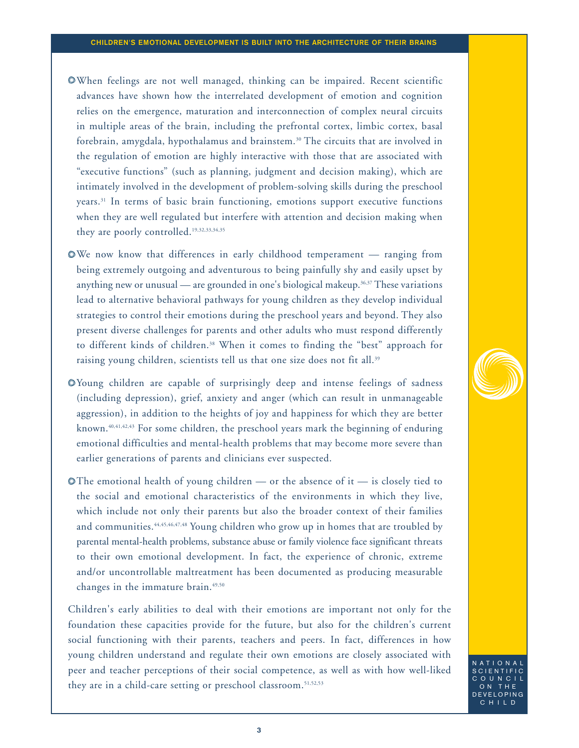- When feelings are not well managed, thinking can be impaired. Recent scientific advances have shown how the interrelated development of emotion and cognition relies on the emergence, maturation and interconnection of complex neural circuits in multiple areas of the brain, including the prefrontal cortex, limbic cortex, basal forebrain, amygdala, hypothalamus and brainstem.30 The circuits that are involved in the regulation of emotion are highly interactive with those that are associated with "executive functions" (such as planning, judgment and decision making), which are intimately involved in the development of problem-solving skills during the preschool years.31 In terms of basic brain functioning, emotions support executive functions when they are well regulated but interfere with attention and decision making when they are poorly controlled.<sup>19,32,33,34,35</sup>
- We now know that differences in early childhood temperament ranging from being extremely outgoing and adventurous to being painfully shy and easily upset by anything new or unusual — are grounded in one's biological makeup.<sup>36,37</sup> These variations lead to alternative behavioral pathways for young children as they develop individual strategies to control their emotions during the preschool years and beyond. They also present diverse challenges for parents and other adults who must respond differently to different kinds of children.38 When it comes to finding the "best" approach for raising young children, scientists tell us that one size does not fit all.<sup>39</sup>
- Young children are capable of surprisingly deep and intense feelings of sadness (including depression), grief, anxiety and anger (which can result in unmanageable aggression), in addition to the heights of joy and happiness for which they are better known.<sup>40,41,42,43</sup> For some children, the preschool years mark the beginning of enduring emotional difficulties and mental-health problems that may become more severe than earlier generations of parents and clinicians ever suspected.
- $\bullet$  The emotional health of young children or the absence of it is closely tied to the social and emotional characteristics of the environments in which they live, which include not only their parents but also the broader context of their families and communities.<sup>44,45,46,47,48</sup> Young children who grow up in homes that are troubled by parental mental-health problems, substance abuse or family violence face significant threats to their own emotional development. In fact, the experience of chronic, extreme and/or uncontrollable maltreatment has been documented as producing measurable changes in the immature brain.<sup>49,50</sup>

Children's early abilities to deal with their emotions are important not only for the foundation these capacities provide for the future, but also for the children's current social functioning with their parents, teachers and peers. In fact, differences in how young children understand and regulate their own emotions are closely associated with peer and teacher perceptions of their social competence, as well as with how well-liked they are in a child-care setting or preschool classroom.51,52,53

3

TIONAI SCIENTIFIC **OUNCIL** ON THE DEVELOPING CHILD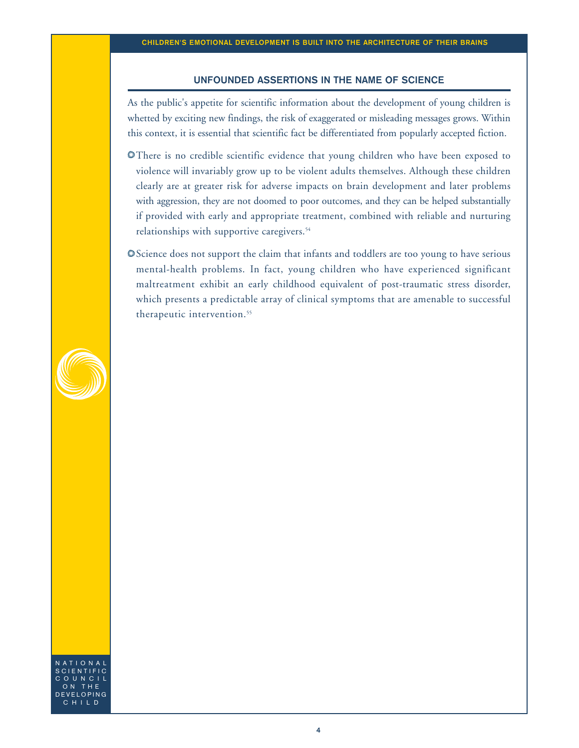## UNFOUNDED ASSERTIONS IN THE NAME OF SCIENCE

As the public's appetite for scientific information about the development of young children is whetted by exciting new findings, the risk of exaggerated or misleading messages grows. Within this context, it is essential that scientific fact be differentiated from popularly accepted fiction.

- There is no credible scientific evidence that young children who have been exposed to violence will invariably grow up to be violent adults themselves. Although these children clearly are at greater risk for adverse impacts on brain development and later problems with aggression, they are not doomed to poor outcomes, and they can be helped substantially if provided with early and appropriate treatment, combined with reliable and nurturing relationships with supportive caregivers.<sup>54</sup>
- Science does not support the claim that infants and toddlers are too young to have serious mental-health problems. In fact, young children who have experienced significant maltreatment exhibit an early childhood equivalent of post-traumatic stress disorder, which presents a predictable array of clinical symptoms that are amenable to successful therapeutic intervention.<sup>55</sup>



NATIONAL SCIENTIFIC **OUNCIL** ON THE DEVELOPING CHILD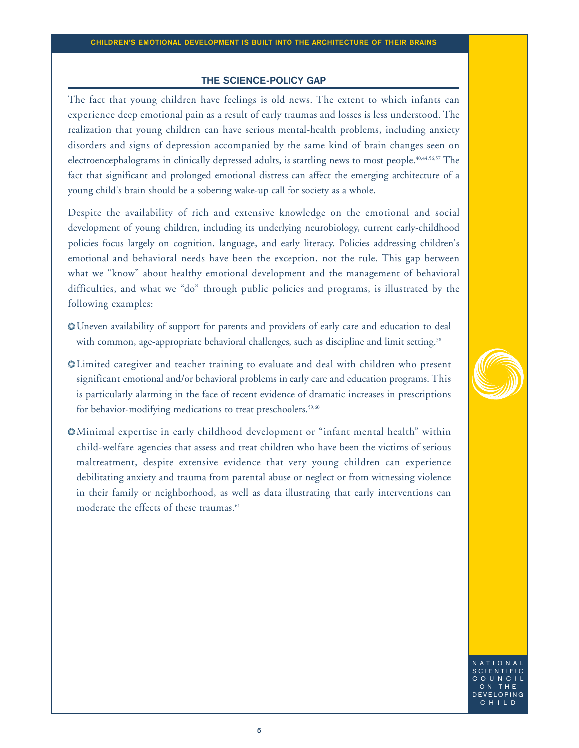## THE SCIENCE-POLICY GAP

The fact that young children have feelings is old news. The extent to which infants can experience deep emotional pain as a result of early traumas and losses is less understood. The realization that young children can have serious mental-health problems, including anxiety disorders and signs of depression accompanied by the same kind of brain changes seen on electroencephalograms in clinically depressed adults, is startling news to most people.40,44,56,57 The fact that significant and prolonged emotional distress can affect the emerging architecture of a young child's brain should be a sobering wake-up call for society as a whole.

Despite the availability of rich and extensive knowledge on the emotional and social development of young children, including its underlying neurobiology, current early-childhood policies focus largely on cognition, language, and early literacy. Policies addressing children's emotional and behavioral needs have been the exception, not the rule. This gap between what we "know" about healthy emotional development and the management of behavioral difficulties, and what we "do" through public policies and programs, is illustrated by the following examples:

- Uneven availability of support for parents and providers of early care and education to deal with common, age-appropriate behavioral challenges, such as discipline and limit setting.<sup>58</sup>
- Limited caregiver and teacher training to evaluate and deal with children who present significant emotional and/or behavioral problems in early care and education programs. This is particularly alarming in the face of recent evidence of dramatic increases in prescriptions for behavior-modifying medications to treat preschoolers.<sup>59,60</sup>
- Minimal expertise in early childhood development or "infant mental health" within child-welfare agencies that assess and treat children who have been the victims of serious maltreatment, despite extensive evidence that very young children can experience debilitating anxiety and trauma from parental abuse or neglect or from witnessing violence in their family or neighborhood, as well as data illustrating that early interventions can moderate the effects of these traumas.<sup>61</sup>

NATIONAL SCIENTIFIC  $ULNCLL$ ON THE DEVELOPING CHILD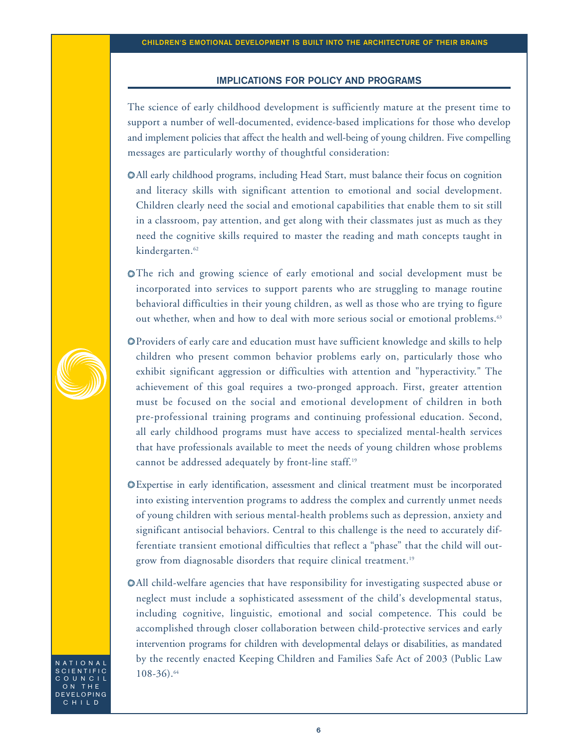## IMPLICATIONS FOR POLICY AND PROGRAMS

The science of early childhood development is sufficiently mature at the present time to support a number of well-documented, evidence-based implications for those who develop and implement policies that affect the health and well-being of young children. Five compelling messages are particularly worthy of thoughtful consideration:

- All early childhood programs, including Head Start, must balance their focus on cognition and literacy skills with significant attention to emotional and social development. Children clearly need the social and emotional capabilities that enable them to sit still in a classroom, pay attention, and get along with their classmates just as much as they need the cognitive skills required to master the reading and math concepts taught in kindergarten.<sup>62</sup>
- The rich and growing science of early emotional and social development must be incorporated into services to support parents who are struggling to manage routine behavioral difficulties in their young children, as well as those who are trying to figure out whether, when and how to deal with more serious social or emotional problems.<sup>63</sup>
- Providers of early care and education must have sufficient knowledge and skills to help children who present common behavior problems early on, particularly those who exhibit significant aggression or difficulties with attention and "hyperactivity." The achievement of this goal requires a two-pronged approach. First, greater attention must be focused on the social and emotional development of children in both pre-professional training programs and continuing professional education. Second, all early childhood programs must have access to specialized mental-health services that have professionals available to meet the needs of young children whose problems cannot be addressed adequately by front-line staff.19
- Expertise in early identification, assessment and clinical treatment must be incorporated into existing intervention programs to address the complex and currently unmet needs of young children with serious mental-health problems such as depression, anxiety and significant antisocial behaviors. Central to this challenge is the need to accurately differentiate transient emotional difficulties that reflect a "phase" that the child will outgrow from diagnosable disorders that require clinical treatment.<sup>19</sup>
- All child-welfare agencies that have responsibility for investigating suspected abuse or neglect must include a sophisticated assessment of the child's developmental status, including cognitive, linguistic, emotional and social competence. This could be accomplished through closer collaboration between child-protective services and early intervention programs for children with developmental delays or disabilities, as mandated by the recently enacted Keeping Children and Families Safe Act of 2003 (Public Law 108-36).64

NATIONAL **CIENTIFIC OUNCIL** ON THE DEVELOPING CHILD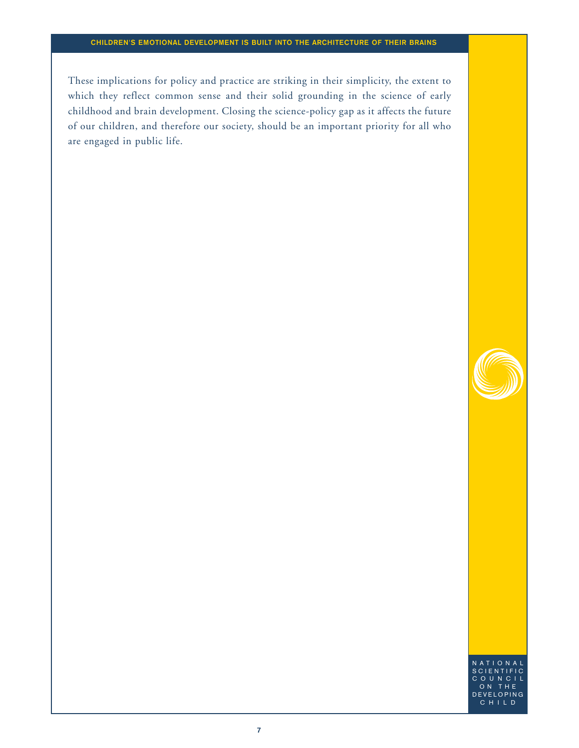These implications for policy and practice are striking in their simplicity, the extent to which they reflect common sense and their solid grounding in the science of early childhood and brain development. Closing the science-policy gap as it affects the future of our children, and therefore our society, should be an important priority for all who are engaged in public life.



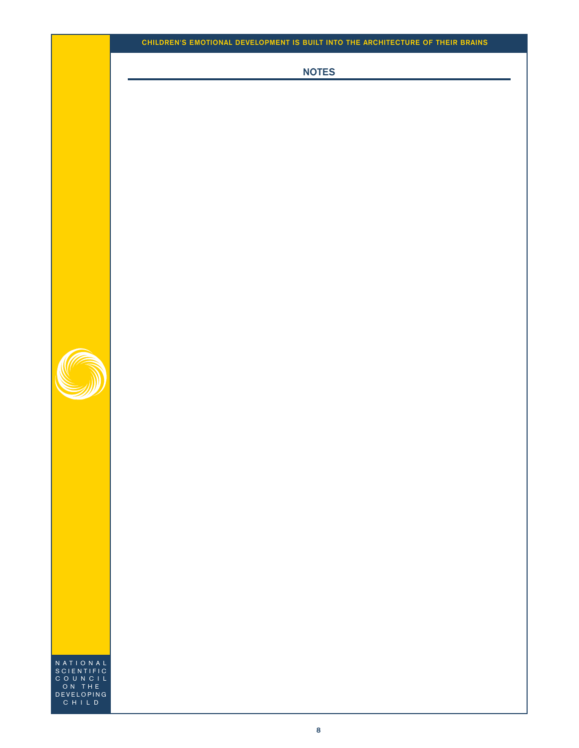NOTES



NATIONAL SCIENTIFIC COUNCIL ON THE DEVELOPING CHILD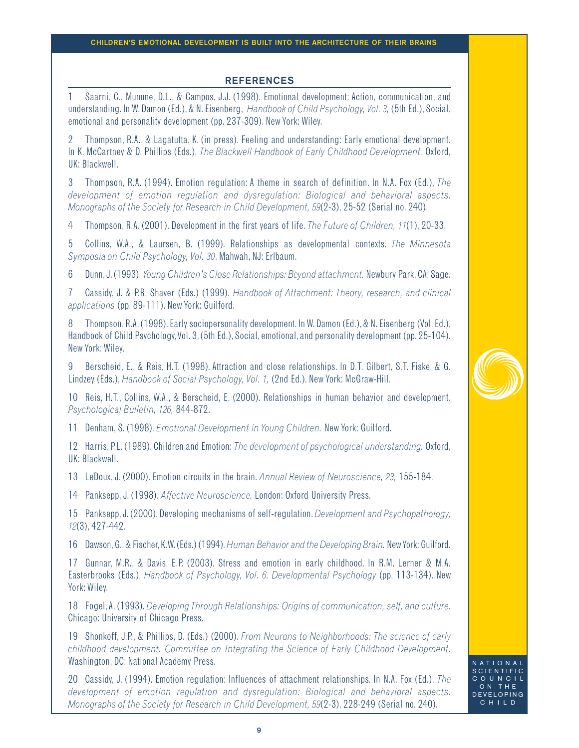## **REFERENCES**

1 Saarni, C., Mumme, D.L., & Campos, J.J. (1998). Emotional development: Action, communication, and understanding. In W. Damon (Ed.), & N. Eisenberg, *Handbook of Child Psychology, Vol. 3,* (5th Ed.), Social, emotional and personality development (pp. 237-309). New York: Wiley.

2 Thompson, R.A., & Lagatutta, K. (in press). Feeling and understanding: Early emotional development. In K. McCartney & D. Phillips (Eds.), *The Blackwell Handbook of Early Childhood Development.* Oxford, UK: Blackwell.

3 Thompson, R.A. (1994). Emotion regulation: A theme in search of definition. In N.A. Fox (Ed.), *The development of emotion regulation and dysregulation: Biological and behavioral aspects. Monographs of the Society for Research in Child Development, 59*(2-3), 25-52 (Serial no. 240).

4 Thompson, R.A. (2001). Development in the first years of life. *The Future of Children, 11*(1), 20-33.

5 Collins, W.A., & Laursen, B. (1999). Relationships as developmental contexts. *The Minnesota Symposia on Child Psychology, Vol. 30*. Mahwah, NJ: Erlbaum.

6 Dunn, J. (1993).*Young Children's Close Relationships: Beyond attachment.* Newbury Park, CA: Sage.

7 Cassidy, J. & P.R. Shaver (Eds.) (1999). *Handbook of Attachment: Theory, research, and clinical applications* (pp. 89-111). New York: Guilford.

8 Thompson, R.A. (1998). Early sociopersonality development. In W. Damon (Ed.), & N. Eisenberg (Vol. Ed.), Handbook of Child Psychology,Vol. 3, (5th Ed.), Social, emotional, and personality development (pp. 25-104). New York: Wiley.

9 Berscheid, E., & Reis, H.T. (1998). Attraction and close relationships. In D.T. Gilbert, S.T. Fiske, & G. Lindzey (Eds.), *Handbook of Social Psychology, Vol. 1,* (2nd Ed.). New York: McGraw-Hill.

10 Reis, H.T., Collins, W.A., & Berscheid, E. (2000). Relationships in human behavior and development. *Psychological Bulletin, 126,* 844-872.

11 Denham, S. (1998). *Emotional Development in Young Children.* New York: Guilford.

12 Harris, P.L. (1989). Children and Emotion: *The development of psychological understanding.* Oxford, UK: Blackwell.

13 LeDoux, J. (2000). Emotion circuits in the brain. *Annual Review of Neuroscience, 23,* 155-184.

14 Panksepp, J. (1998). *Affective Neuroscience.* London: Oxford University Press.

15 Panksepp, J. (2000). Developing mechanisms of self-regulation.*Development and Psychopathology, 12*(3), 427-442.

16 Dawson,G.,& Fischer,K.W.(Eds.) (1994).*Human Behavior and the Developing Brain.* New York: Guilford.

17 Gunnar, M.R., & Davis, E.P. (2003). Stress and emotion in early childhood. In R.M. Lerner & M.A. Easterbrooks (Eds.), *Handbook of Psychology, Vol. 6. Developmental Psychology* (pp. 113-134). New York: Wiley.

18 Fogel,A. (1993). *Developing Through Relationships: Origins of communication, self, and culture.* Chicago: University of Chicago Press.

19 Shonkoff, J.P., & Phillips, D. (Eds.) (2000). *From Neurons to Neighborhoods: The science of early childhood development. Committee on Integrating the Science of Early Childhood Development.* Washington, DC: National Academy Press.

20 Cassidy, J. (1994). Emotion regulation: Influences of attachment relationships. In N.A. Fox (Ed.), *The development of emotion regulation and dysregulation: Biological and behavioral aspects. Monographs of the Society for Research in Child Development, 59*(2-3), 228-249 (Serial no. 240).



SCIENT **OUNCIL** ON THE DEVELOPING CHILD

NATIONAL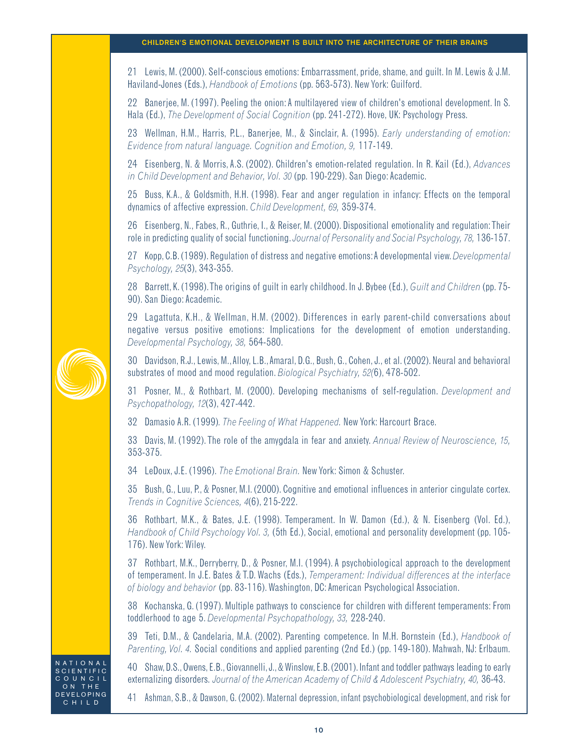21 Lewis, M. (2000). Self-conscious emotions: Embarrassment, pride, shame, and guilt. In M. Lewis & J.M. Haviland-Jones (Eds.), *Handbook of Emotions* (pp. 563-573). New York: Guilford.

22 Banerjee, M. (1997). Peeling the onion: A multilayered view of children's emotional development. In S. Hala (Ed.), *The Development of Social Cognition* (pp. 241-272). Hove, UK: Psychology Press.

23 Wellman, H.M., Harris, P.L., Banerjee, M., & Sinclair, A. (1995). *Early understanding of emotion: Evidence from natural language. Cognition and Emotion, 9,* 117-149.

24 Eisenberg, N. & Morris, A.S. (2002). Children's emotion-related regulation. In R. Kail (Ed.), *Advances in Child Development and Behavior, Vol. 30* (pp. 190-229). San Diego: Academic.

25 Buss, K.A., & Goldsmith, H.H. (1998). Fear and anger regulation in infancy: Effects on the temporal dynamics of affective expression. *Child Development, 69,* 359-374.

26 Eisenberg, N., Fabes, R., Guthrie, I., & Reiser, M. (2000). Dispositional emotionality and regulation:Their role in predicting quality of social functioning. *Journal of Personality and Social Psychology, 78,* 136-157.

27 Kopp, C.B. (1989). Regulation of distress and negative emotions:A developmental view.*Developmental Psychology, 25*(3), 343-355.

28 Barrett, K. (1998).The origins of guilt in early childhood. In J. Bybee (Ed.), *Guilt and Children* (pp. 75- 90). San Diego: Academic.

29 Lagattuta, K.H., & Wellman, H.M. (2002). Differences in early parent-child conversations about negative versus positive emotions: Implications for the development of emotion understanding. *Developmental Psychology, 38,* 564-580.

30 Davidson, R.J., Lewis, M.,Alloy, L.B.,Amaral, D.G., Bush, G., Cohen, J., et al. (2002). Neural and behavioral substrates of mood and mood regulation. *Biological Psychiatry, 52(*6), 478-502.

31 Posner, M., & Rothbart, M. (2000). Developing mechanisms of self-regulation. *Development and Psychopathology, 12*(3), 427-442.

32 Damasio A.R. (1999)*. The Feeling of What Happened.* New York: Harcourt Brace.

33 Davis, M. (1992).The role of the amygdala in fear and anxiety. *Annual Review of Neuroscience, 15,* 353-375.

34 LeDoux, J.E. (1996). *The Emotional Brain.* New York: Simon & Schuster.

35 Bush, G., Luu, P., & Posner, M.I. (2000). Cognitive and emotional influences in anterior cingulate cortex. *Trends in Cognitive Sciences, 4*(6), 215-222.

36 Rothbart, M.K., & Bates, J.E. (1998). Temperament. In W. Damon (Ed.), & N. Eisenberg (Vol. Ed.), *Handbook of Child Psychology Vol. 3,* (5th Ed.), Social, emotional and personality development (pp. 105- 176). New York: Wiley.

37 Rothbart, M.K., Derryberry, D., & Posner, M.I. (1994). A psychobiological approach to the development of temperament. In J.E. Bates & T.D. Wachs (Eds.), *Temperament: Individual differences at the interface of biology and behavior* (pp. 83-116). Washington, DC: American Psychological Association.

38 Kochanska, G. (1997). Multiple pathways to conscience for children with different temperaments: From toddlerhood to age 5. *Developmental Psychopathology, 33,* 228-240.

39 Teti, D.M., & Candelaria, M.A. (2002). Parenting competence. In M.H. Bornstein (Ed.), *Handbook of Parenting, Vol. 4.* Social conditions and applied parenting (2nd Ed.) (pp. 149-180). Mahwah, NJ: Erlbaum.

40 Shaw,D.S.,Owens,E.B.,Giovannelli,J.,& Winslow,E.B.(2001).Infant and toddler pathways leading to early externalizing disorders. *Journal of the American Academy of Child & Adolescent Psychiatry, 40, 36-43.* 

41 Ashman, S.B., & Dawson, G. (2002). Maternal depression, infant psychobiological development, and risk for



N A T I O N A I **CIENTIFIC** OUNC<sub>IL</sub> ON THE DEVELOPING CHILD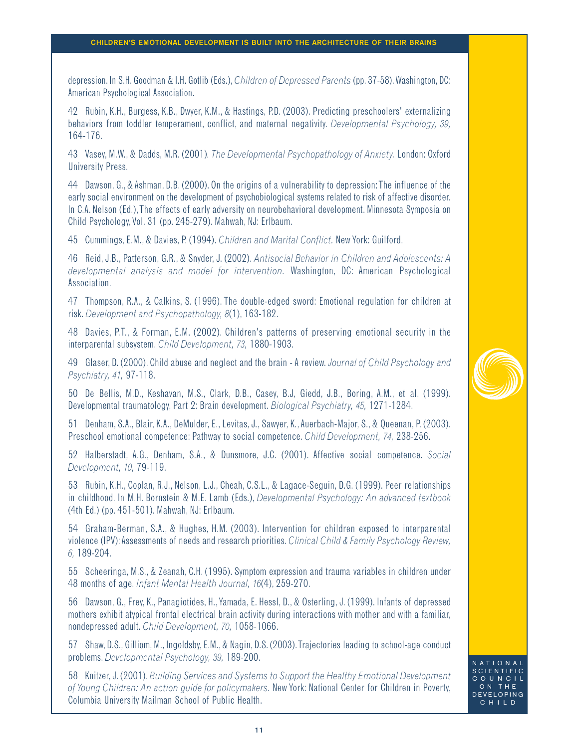depression. In S.H. Goodman & I.H. Gotlib (Eds.),*Children of Depressed Parents* (pp. 37-58).Washington, DC: American Psychological Association.

42 Rubin, K.H., Burgess, K.B., Dwyer, K.M., & Hastings, P.D. (2003). Predicting preschoolers' externalizing behaviors from toddler temperament, conflict, and maternal negativity. *Developmental Psychology, 39,* 164-176.

43 Vasey, M.W., & Dadds, M.R. (2001)*. The Developmental Psychopathology of Anxiety.* London: Oxford University Press.

44 Dawson, G., & Ashman, D.B. (2000). On the origins of a vulnerability to depression:The influence of the early social environment on the development of psychobiological systems related to risk of affective disorder. In C.A. Nelson (Ed.),The effects of early adversity on neurobehavioral development. Minnesota Symposia on Child Psychology, Vol. 31 (pp. 245-279). Mahwah, NJ: Erlbaum.

45 Cummings, E.M., & Davies, P. (1994). *Children and Marital Conflict.* New York: Guilford.

46 Reid, J.B., Patterson, G.R., & Snyder, J. (2002). *Antisocial Behavior in Children and Adolescents: A developmental analysis and model for intervention.* Washington, DC: American Psychological Association.

47 Thompson, R.A., & Calkins, S. (1996). The double-edged sword: Emotional regulation for children at risk. *Development and Psychopathology, 8*(1), 163-182.

48 Davies, P.T., & Forman, E.M. (2002). Children's patterns of preserving emotional security in the interparental subsystem. *Child Development, 73,* 1880-1903.

49 Glaser, D. (2000). Child abuse and neglect and the brain - A review. *Journal of Child Psychology and Psychiatry, 41,* 97-118.

50 De Bellis, M.D., Keshavan, M.S., Clark, D.B., Casey, B.J, Giedd, J.B., Boring, A.M., et al. (1999). Developmental traumatology, Part 2: Brain development. *Biological Psychiatry, 45,* 1271-1284.

51 Denham, S.A., Blair, K.A., DeMulder, E., Levitas, J., Sawyer, K.,Auerbach-Major, S., & Queenan, P. (2003). Preschool emotional competence: Pathway to social competence. *Child Development, 74,* 238-256.

52 Halberstadt, A.G., Denham, S.A., & Dunsmore, J.C. (2001). Affective social competence. *Social Development, 10,* 79-119.

53 Rubin, K.H., Coplan, R.J., Nelson, L.J., Cheah, C.S.L., & Lagace-Seguin, D.G. (1999). Peer relationships in childhood. In M.H. Bornstein & M.E. Lamb (Eds.), *Developmental Psychology: An advanced textbook* (4th Ed.) (pp. 451-501). Mahwah, NJ: Erlbaum.

54 Graham-Berman, S.A., & Hughes, H.M. (2003). Intervention for children exposed to interparental violence (IPV):Assessments of needs and research priorities.*Clinical Child & Family Psychology Review, 6,* 189-204.

55 Scheeringa, M.S., & Zeanah, C.H. (1995). Symptom expression and trauma variables in children under 48 months of age. *Infant Mental Health Journal, 16*(4), 259-270.

56 Dawson, G., Frey, K., Panagiotides, H.,Yamada, E. Hessl, D., & Osterling, J. (1999). Infants of depressed mothers exhibit atypical frontal electrical brain activity during interactions with mother and with a familiar, nondepressed adult. *Child Development, 70,* 1058-1066.

57 Shaw, D.S., Gilliom, M., Ingoldsby, E.M., & Nagin, D.S. (2003).Trajectories leading to school-age conduct problems. *Developmental Psychology, 39,* 189-200.

58 Knitzer, J. (2001). *Building Services and Systems to Support the Healthy Emotional Development of Young Children: An action guide for policymakers.* New York: National Center for Children in Poverty, Columbia University Mailman School of Public Health.



NATIONAL SCIENTIFIC  $ULNCLL$ ON THE DEVELOPING CHILD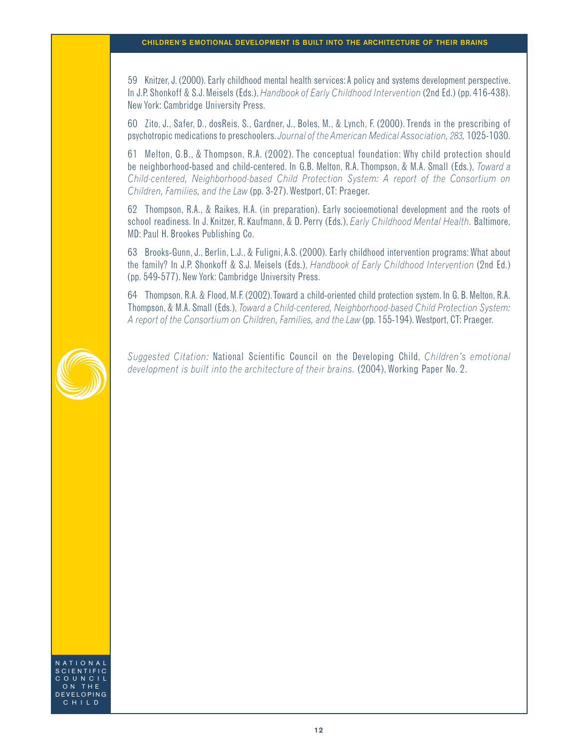59 Knitzer, J. (2000). Early childhood mental health services:A policy and systems development perspective. In J.P. Shonkoff & S.J. Meisels (Eds.),*Handbook of Early Childhood Intervention* (2nd Ed.) (pp. 416-438). New York: Cambridge University Press.

60 Zito, J., Safer, D., dosReis, S., Gardner, J., Boles, M., & Lynch, F. (2000). Trends in the prescribing of psychotropic medications to preschoolers. *Journal of the American Medical Association, 283,* 1025-1030.

61 Melton, G.B., & Thompson, R.A. (2002). The conceptual foundation: Why child protection should be neighborhood-based and child-centered. In G.B. Melton, R.A. Thompson, & M.A. Small (Eds.), *Toward a Child-centered, Neighborhood-based Child Protection System: A report of the Consortium on Children, Families, and the Law* (pp. 3-27). Westport, CT: Praeger.

62 Thompson, R.A., & Raikes, H.A. (in preparation). Early socioemotional development and the roots of school readiness. In J. Knitzer, R. Kaufmann, & D. Perry (Eds.), *Early Childhood Mental Health.* Baltimore, MD: Paul H. Brookes Publishing Co.

63 Brooks-Gunn, J., Berlin, L.J., & Fuligni,A.S. (2000). Early childhood intervention programs: What about the family? In J.P. Shonkoff & S.J. Meisels (Eds.), *Handbook of Early Childhood Intervention* (2nd Ed.) (pp. 549-577). New York: Cambridge University Press.

64 Thompson, R.A. & Flood, M.F. (2002).Toward a child-oriented child protection system. In G. B. Melton, R.A. Thompson, & M.A. Small (Eds.),*Toward a Child-centered, Neighborhood-based Child Protection System: A report of the Consortium on Children, Families, and the Law* (pp. 155-194).Westport, CT: Praeger.

*Suggested Citation:* National Scientific Council on the Developing Child, *Children's emotional development is built into the architecture of their brains.* (2004), Working Paper No. 2.

NATION SCIENTIFIC COUNCIL ON THE DEVELOPING CHILD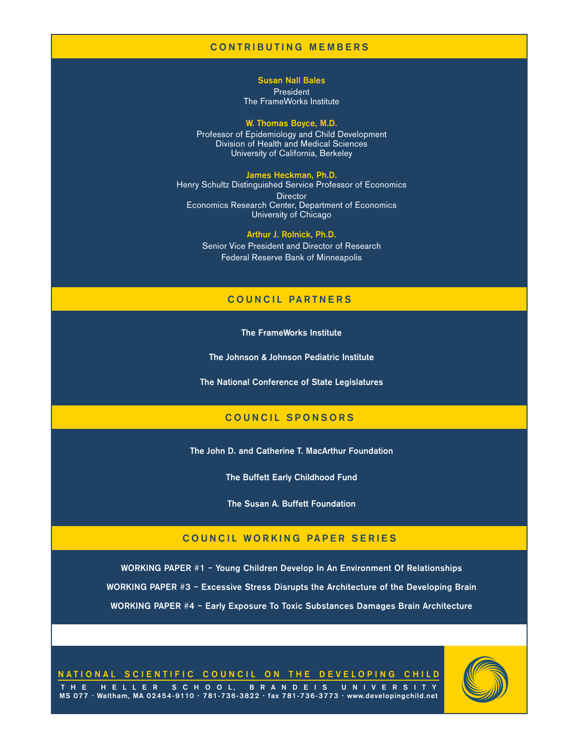# CONTRIBUTING MEMBERS

Susan Nall Bales President The FrameWorks Institute

#### W. Thomas Boyce, M.D.

Professor of Epidemiology and Child Development Division of Health and Medical Sciences University of California, Berkeley

James Heckman, Ph.D. Henry Schultz Distinguished Service Professor of Economics **Director** Economics Research Center, Department of Economics University of Chicago

> Arthur J. Rolnick, Ph.D. Senior Vice President and Director of Research Federal Reserve Bank of Minneapolis

# COUNCIL PARTNERS

The FrameWorks Institute

The Johnson & Johnson Pediatric Institute

The National Conference of State Legislatures

# COUNCIL SPONSORS

The John D. and Catherine T. MacArthur Foundation

The Buffett Early Childhood Fund

The Susan A. Buffett Foundation

# COUNCIL WORKING PAPER SERIES

WORKING PAPER #1 – Young Children Develop In An Environment Of Relationships WORKING PAPER #3 – Excessive Stress Disrupts the Architecture of the Developing Brain WORKING PAPER #4 – Early Exposure To Toxic Substances Damages Brain Architecture

NATIONAL SCIENTIFIC COUNCIL ON THE DEVELOPING CHILD

THE HELLER SCHOOL, BRANDEIS UNIVERSITY MS 077 • Waltham, MA 02454-9110 • 781-736-3822 • fax 781-736-3773 • www.developingchild.net